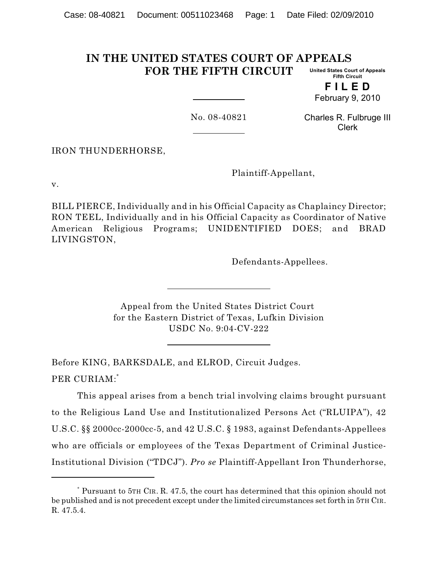#### **IN THE UNITED STATES COURT OF APPEALS FOR THE FIFTH CIRCUIT United States Court of Appeals Fifth Circuit**

**F I L E D** February 9, 2010

No. 08-40821

Charles R. Fulbruge III Clerk

IRON THUNDERHORSE,

Plaintiff-Appellant,

v.

BILL PIERCE, Individually and in his Official Capacity as Chaplaincy Director; RON TEEL, Individually and in his Official Capacity as Coordinator of Native American Religious Programs; UNIDENTIFIED DOES; and BRAD LIVINGSTON,

Defendants-Appellees.

Appeal from the United States District Court for the Eastern District of Texas, Lufkin Division USDC No. 9:04-CV-222

Before KING, BARKSDALE, and ELROD, Circuit Judges. PER CURIAM:\*

This appeal arises from a bench trial involving claims brought pursuant to the Religious Land Use and Institutionalized Persons Act ("RLUIPA"), 42 U.S.C. §§ 2000cc-2000cc-5, and 42 U.S.C. § 1983, against Defendants-Appellees who are officials or employees of the Texas Department of Criminal Justice-Institutional Division ("TDCJ"). *Pro se* Plaintiff-Appellant Iron Thunderhorse,

Pursuant to 5TH CIR. R. 47.5, the court has determined that this opinion should not \* be published and is not precedent except under the limited circumstances set forth in 5TH CIR. R. 47.5.4.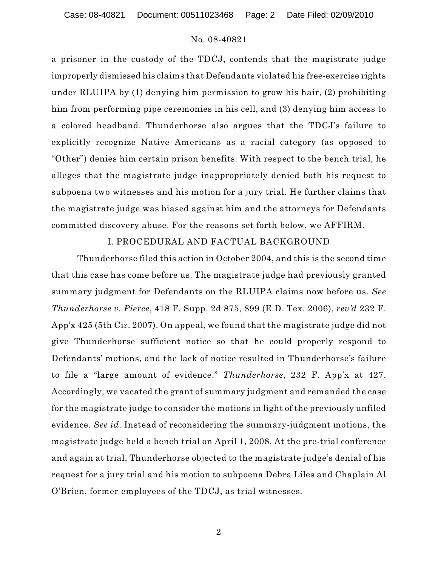Case: 08-40821 Document: 00511023468 Page: 2 Date Filed: 02/09/2010

#### No. 08-40821

a prisoner in the custody of the TDCJ, contends that the magistrate judge improperly dismissed his claims that Defendants violated his free-exercise rights under RLUIPA by (1) denying him permission to grow his hair, (2) prohibiting him from performing pipe ceremonies in his cell, and (3) denying him access to a colored headband. Thunderhorse also argues that the TDCJ's failure to explicitly recognize Native Americans as a racial category (as opposed to "Other") denies him certain prison benefits. With respect to the bench trial, he alleges that the magistrate judge inappropriately denied both his request to subpoena two witnesses and his motion for a jury trial. He further claims that the magistrate judge was biased against him and the attorneys for Defendants committed discovery abuse. For the reasons set forth below, we AFFIRM.

### I. PROCEDURAL AND FACTUAL BACKGROUND

Thunderhorse filed this action in October 2004, and this is the second time that this case has come before us. The magistrate judge had previously granted summary judgment for Defendants on the RLUIPA claims now before us. *See Thunderhorse v. Pierce*, 418 F. Supp. 2d 875, 899 (E.D. Tex. 2006), *rev'd* 232 F. App'x 425 (5th Cir. 2007). On appeal, we found that the magistrate judge did not give Thunderhorse sufficient notice so that he could properly respond to Defendants' motions, and the lack of notice resulted in Thunderhorse's failure to file a "large amount of evidence." *Thunderhorse*, 232 F. App'x at 427. Accordingly, we vacated the grant of summary judgment and remanded the case for the magistrate judge to consider the motions in light of the previously unfiled evidence. *See id*. Instead of reconsidering the summary-judgment motions, the magistrate judge held a bench trial on April 1, 2008. At the pre-trial conference and again at trial, Thunderhorse objected to the magistrate judge's denial of his request for a jury trial and his motion to subpoena Debra Liles and Chaplain Al O'Brien, former employees of the TDCJ, as trial witnesses.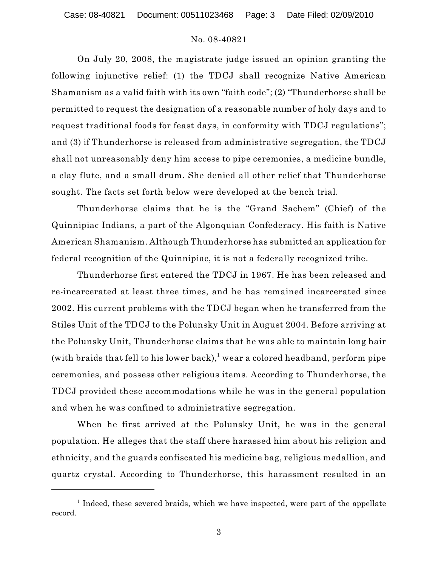Case: 08-40821 Document: 00511023468 Page: 3 Date Filed: 02/09/2010

### No. 08-40821

On July 20, 2008, the magistrate judge issued an opinion granting the following injunctive relief: (1) the TDCJ shall recognize Native American Shamanism as a valid faith with its own "faith code"; (2) "Thunderhorse shall be permitted to request the designation of a reasonable number of holy days and to request traditional foods for feast days, in conformity with TDCJ regulations"; and (3) if Thunderhorse is released from administrative segregation, the TDCJ shall not unreasonably deny him access to pipe ceremonies, a medicine bundle, a clay flute, and a small drum. She denied all other relief that Thunderhorse sought. The facts set forth below were developed at the bench trial.

Thunderhorse claims that he is the "Grand Sachem" (Chief) of the Quinnipiac Indians, a part of the Algonquian Confederacy. His faith is Native American Shamanism. Although Thunderhorse has submitted an application for federal recognition of the Quinnipiac, it is not a federally recognized tribe.

Thunderhorse first entered the TDCJ in 1967. He has been released and re-incarcerated at least three times, and he has remained incarcerated since 2002. His current problems with the TDCJ began when he transferred from the Stiles Unit of the TDCJ to the Polunsky Unit in August 2004. Before arriving at the Polunsky Unit, Thunderhorse claims that he was able to maintain long hair (with braids that fell to his lower back),<sup>1</sup> wear a colored headband, perform pipe ceremonies, and possess other religious items. According to Thunderhorse, the TDCJ provided these accommodations while he was in the general population and when he was confined to administrative segregation.

When he first arrived at the Polunsky Unit, he was in the general population. He alleges that the staff there harassed him about his religion and ethnicity, and the guards confiscated his medicine bag, religious medallion, and quartz crystal. According to Thunderhorse, this harassment resulted in an

 $1$  Indeed, these severed braids, which we have inspected, were part of the appellate record.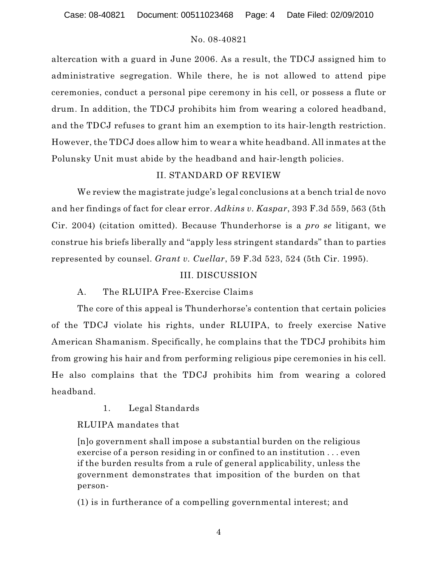Case: 08-40821 Document: 00511023468 Page: 4 Date Filed: 02/09/2010

# No. 08-40821

altercation with a guard in June 2006. As a result, the TDCJ assigned him to administrative segregation. While there, he is not allowed to attend pipe ceremonies, conduct a personal pipe ceremony in his cell, or possess a flute or drum. In addition, the TDCJ prohibits him from wearing a colored headband, and the TDCJ refuses to grant him an exemption to its hair-length restriction. However, the TDCJ does allow him to wear a white headband. All inmates at the Polunsky Unit must abide by the headband and hair-length policies.

# II. STANDARD OF REVIEW

We review the magistrate judge's legal conclusions at a bench trial de novo and her findings of fact for clear error. *Adkins v. Kaspar*, 393 F.3d 559, 563 (5th Cir. 2004) (citation omitted). Because Thunderhorse is a *pro se* litigant, we construe his briefs liberally and "apply less stringent standards" than to parties represented by counsel. *Grant v. Cuellar*, 59 F.3d 523, 524 (5th Cir. 1995).

# III. DISCUSSION

# A. The RLUIPA Free-Exercise Claims

The core of this appeal is Thunderhorse's contention that certain policies of the TDCJ violate his rights, under RLUIPA, to freely exercise Native American Shamanism. Specifically, he complains that the TDCJ prohibits him from growing his hair and from performing religious pipe ceremonies in his cell. He also complains that the TDCJ prohibits him from wearing a colored headband.

1. Legal Standards

RLUIPA mandates that

[n]o government shall impose a substantial burden on the religious exercise of a person residing in or confined to an institution . . . even if the burden results from a rule of general applicability, unless the government demonstrates that imposition of the burden on that person-

(1) is in furtherance of a compelling governmental interest; and

4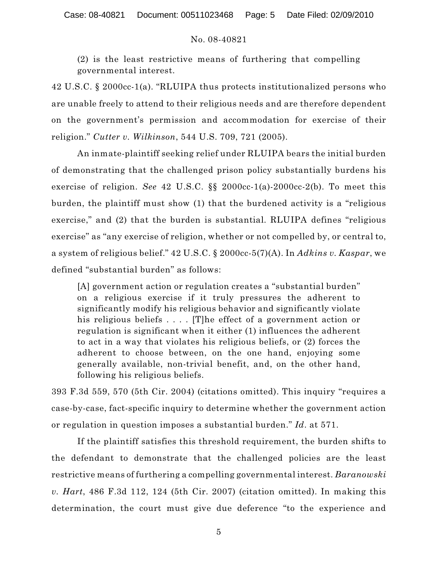(2) is the least restrictive means of furthering that compelling governmental interest.

42 U.S.C. § 2000cc-1(a). "RLUIPA thus protects institutionalized persons who are unable freely to attend to their religious needs and are therefore dependent on the government's permission and accommodation for exercise of their religion." *Cutter v. Wilkinson*, 544 U.S. 709, 721 (2005).

An inmate-plaintiff seeking relief under RLUIPA bears the initial burden of demonstrating that the challenged prison policy substantially burdens his exercise of religion. *See* 42 U.S.C. §§ 2000cc-1(a)-2000cc-2(b). To meet this burden, the plaintiff must show (1) that the burdened activity is a "religious exercise," and (2) that the burden is substantial. RLUIPA defines "religious exercise" as "any exercise of religion, whether or not compelled by, or central to, a system of religious belief." 42 U.S.C. § 2000cc-5(7)(A). In *Adkins v. Kaspar*, we defined "substantial burden" as follows:

[A] government action or regulation creates a "substantial burden" on a religious exercise if it truly pressures the adherent to significantly modify his religious behavior and significantly violate his religious beliefs .... [T]he effect of a government action or regulation is significant when it either (1) influences the adherent to act in a way that violates his religious beliefs, or (2) forces the adherent to choose between, on the one hand, enjoying some generally available, non-trivial benefit, and, on the other hand, following his religious beliefs.

393 F.3d 559, 570 (5th Cir. 2004) (citations omitted). This inquiry "requires a case-by-case, fact-specific inquiry to determine whether the government action or regulation in question imposes a substantial burden." *Id*. at 571.

If the plaintiff satisfies this threshold requirement, the burden shifts to the defendant to demonstrate that the challenged policies are the least restrictive means of furthering a compelling governmental interest. *Baranowski v. Hart*, 486 F.3d 112, 124 (5th Cir. 2007) (citation omitted). In making this determination, the court must give due deference "to the experience and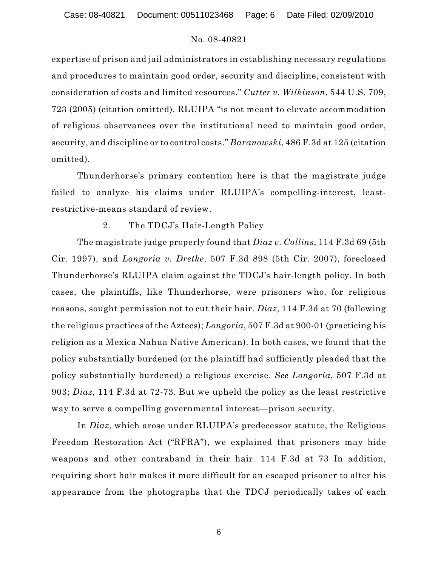expertise of prison and jail administrators in establishing necessary regulations and procedures to maintain good order, security and discipline, consistent with consideration of costs and limited resources." *Cutter v. Wilkinson*, 544 U.S. 709, 723 (2005) (citation omitted). RLUIPA "is not meant to elevate accommodation of religious observances over the institutional need to maintain good order, security, and discipline or to control costs." *Baranowski*, 486 F.3d at 125 (citation omitted).

Thunderhorse's primary contention here is that the magistrate judge failed to analyze his claims under RLUIPA's compelling-interest, leastrestrictive-means standard of review.

### 2. The TDCJ's Hair-Length Policy

The magistrate judge properly found that *Diaz v. Collins*, 114 F.3d 69 (5th Cir. 1997), and *Longoria v. Dretke*, 507 F.3d 898 (5th Cir. 2007), foreclosed Thunderhorse's RLUIPA claim against the TDCJ's hair-length policy. In both cases, the plaintiffs, like Thunderhorse, were prisoners who, for religious reasons, sought permission not to cut their hair. *Diaz*, 114 F.3d at 70 (following the religious practices of the Aztecs); *Longoria*, 507 F.3d at 900-01 (practicing his religion as a Mexica Nahua Native American). In both cases, we found that the policy substantially burdened (or the plaintiff had sufficiently pleaded that the policy substantially burdened) a religious exercise. *See Longoria*, 507 F.3d at 903; *Diaz*, 114 F.3d at 72-73. But we upheld the policy as the least restrictive way to serve a compelling governmental interest—prison security.

In *Diaz*, which arose under RLUIPA's predecessor statute, the Religious Freedom Restoration Act ("RFRA"), we explained that prisoners may hide weapons and other contraband in their hair. 114 F.3d at 73 In addition, requiring short hair makes it more difficult for an escaped prisoner to alter his appearance from the photographs that the TDCJ periodically takes of each

6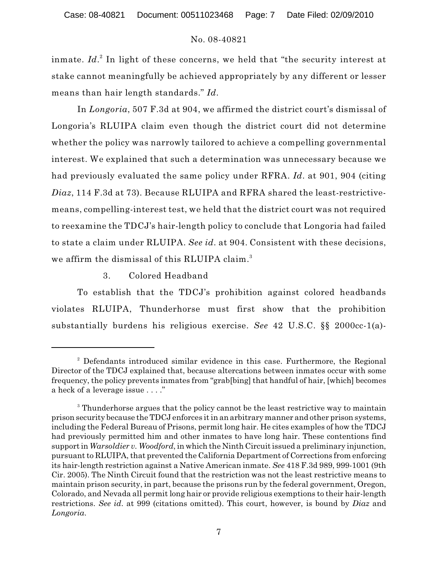inmate. *Id*.<sup>2</sup> In light of these concerns, we held that "the security interest at stake cannot meaningfully be achieved appropriately by any different or lesser means than hair length standards." *Id*.

In *Longoria*, 507 F.3d at 904, we affirmed the district court's dismissal of Longoria's RLUIPA claim even though the district court did not determine whether the policy was narrowly tailored to achieve a compelling governmental interest. We explained that such a determination was unnecessary because we had previously evaluated the same policy under RFRA. *Id*. at 901, 904 (citing *Diaz*, 114 F.3d at 73). Because RLUIPA and RFRA shared the least-restrictivemeans, compelling-interest test, we held that the district court was not required to reexamine the TDCJ's hair-length policy to conclude that Longoria had failed to state a claim under RLUIPA. *See id*. at 904. Consistent with these decisions, we affirm the dismissal of this RLUIPA claim.<sup>3</sup>

3. Colored Headband

To establish that the TDCJ's prohibition against colored headbands violates RLUIPA, Thunderhorse must first show that the prohibition substantially burdens his religious exercise. *See* 42 U.S.C. §§ 2000cc-1(a)-

<sup>&</sup>lt;sup>2</sup> Defendants introduced similar evidence in this case. Furthermore, the Regional Director of the TDCJ explained that, because altercations between inmates occur with some frequency, the policy prevents inmates from "grab[bing] that handful of hair, [which] becomes a heck of a leverage issue . . . ."

<sup>&</sup>lt;sup>3</sup> Thunderhorse argues that the policy cannot be the least restrictive way to maintain prison security because the TDCJ enforces it in an arbitrary manner and other prison systems, including the Federal Bureau of Prisons, permit long hair. He cites examples of how the TDCJ had previously permitted him and other inmates to have long hair. These contentions find support in *Warsoldier v. Woodford*, in which the Ninth Circuit issued a preliminary injunction, pursuant to RLUIPA, that prevented the California Department of Corrections from enforcing its hair-length restriction against a Native American inmate. *See* 418 F.3d 989, 999-1001 (9th Cir. 2005). The Ninth Circuit found that the restriction was not the least restrictive means to maintain prison security, in part, because the prisons run by the federal government, Oregon, Colorado, and Nevada all permit long hair or provide religious exemptions to their hair-length restrictions. *See id*. at 999 (citations omitted). This court, however, is bound by *Diaz* and *Longoria*.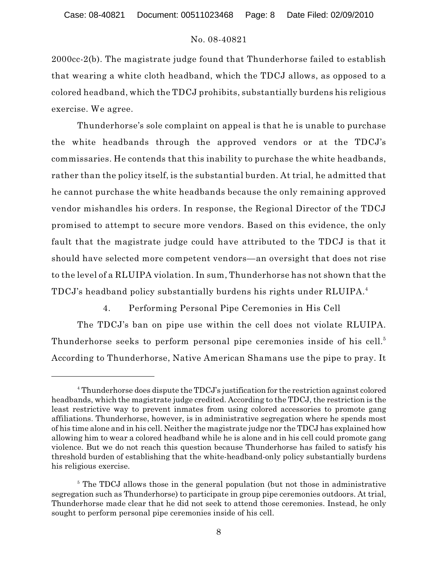2000cc-2(b). The magistrate judge found that Thunderhorse failed to establish that wearing a white cloth headband, which the TDCJ allows, as opposed to a colored headband, which the TDCJ prohibits, substantially burdens his religious exercise. We agree.

Thunderhorse's sole complaint on appeal is that he is unable to purchase the white headbands through the approved vendors or at the TDCJ's commissaries. He contends that this inability to purchase the white headbands, rather than the policy itself, is the substantial burden. At trial, he admitted that he cannot purchase the white headbands because the only remaining approved vendor mishandles his orders. In response, the Regional Director of the TDCJ promised to attempt to secure more vendors. Based on this evidence, the only fault that the magistrate judge could have attributed to the TDCJ is that it should have selected more competent vendors—an oversight that does not rise to the level of a RLUIPA violation. In sum, Thunderhorse has not shown that the TDCJ's headband policy substantially burdens his rights under RLUIPA. 4

4. Performing Personal Pipe Ceremonies in His Cell

The TDCJ's ban on pipe use within the cell does not violate RLUIPA. Thunderhorse seeks to perform personal pipe ceremonies inside of his cell.<sup>5</sup> According to Thunderhorse, Native American Shamans use the pipe to pray. It

<sup>&</sup>lt;sup>4</sup> Thunderhorse does dispute the TDCJ's justification for the restriction against colored headbands, which the magistrate judge credited. According to the TDCJ, the restriction is the least restrictive way to prevent inmates from using colored accessories to promote gang affiliations. Thunderhorse, however, is in administrative segregation where he spends most of his time alone and in his cell. Neither the magistrate judge nor the TDCJ has explained how allowing him to wear a colored headband while he is alone and in his cell could promote gang violence. But we do not reach this question because Thunderhorse has failed to satisfy his threshold burden of establishing that the white-headband-only policy substantially burdens his religious exercise.

 $\delta$  The TDCJ allows those in the general population (but not those in administrative segregation such as Thunderhorse) to participate in group pipe ceremonies outdoors. At trial, Thunderhorse made clear that he did not seek to attend those ceremonies. Instead, he only sought to perform personal pipe ceremonies inside of his cell.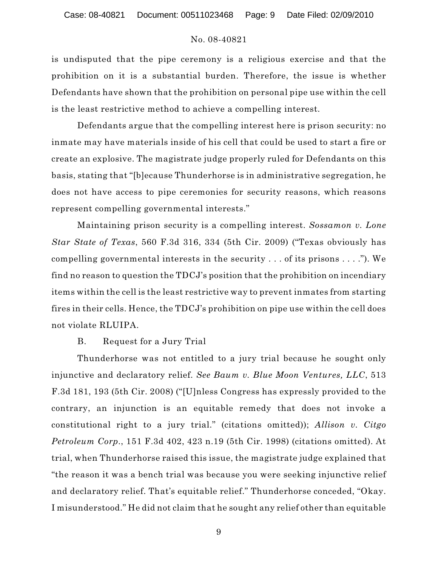is undisputed that the pipe ceremony is a religious exercise and that the prohibition on it is a substantial burden. Therefore, the issue is whether Defendants have shown that the prohibition on personal pipe use within the cell is the least restrictive method to achieve a compelling interest.

Defendants argue that the compelling interest here is prison security: no inmate may have materials inside of his cell that could be used to start a fire or create an explosive. The magistrate judge properly ruled for Defendants on this basis, stating that "[b]ecause Thunderhorse is in administrative segregation, he does not have access to pipe ceremonies for security reasons, which reasons represent compelling governmental interests."

Maintaining prison security is a compelling interest. *Sossamon v. Lone Star State of Texas*, 560 F.3d 316, 334 (5th Cir. 2009) ("Texas obviously has compelling governmental interests in the security . . . of its prisons . . . ."). We find no reason to question the TDCJ's position that the prohibition on incendiary items within the cell is the least restrictive way to prevent inmates from starting fires in their cells. Hence, the TDCJ's prohibition on pipe use within the cell does not violate RLUIPA.

### B. Request for a Jury Trial

Thunderhorse was not entitled to a jury trial because he sought only injunctive and declaratory relief. *See Baum v. Blue Moon Ventures, LLC*, 513 F.3d 181, 193 (5th Cir. 2008) ("[U]nless Congress has expressly provided to the contrary, an injunction is an equitable remedy that does not invoke a constitutional right to a jury trial." (citations omitted)); *Allison v. Citgo Petroleum Corp.*, 151 F.3d 402, 423 n.19 (5th Cir. 1998) (citations omitted). At trial, when Thunderhorse raised this issue, the magistrate judge explained that "the reason it was a bench trial was because you were seeking injunctive relief and declaratory relief. That's equitable relief." Thunderhorse conceded, "Okay. I misunderstood." He did not claim that he sought any relief other than equitable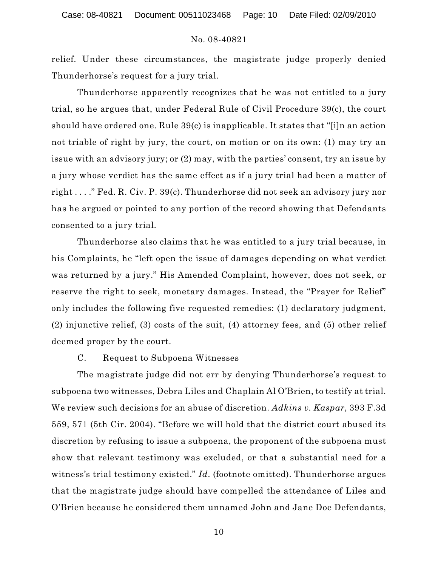relief. Under these circumstances, the magistrate judge properly denied Thunderhorse's request for a jury trial.

Thunderhorse apparently recognizes that he was not entitled to a jury trial, so he argues that, under Federal Rule of Civil Procedure 39(c), the court should have ordered one. Rule 39(c) is inapplicable. It states that "[i]n an action not triable of right by jury, the court, on motion or on its own: (1) may try an issue with an advisory jury; or (2) may, with the parties' consent, try an issue by a jury whose verdict has the same effect as if a jury trial had been a matter of right . . . ." Fed. R. Civ. P. 39(c). Thunderhorse did not seek an advisory jury nor has he argued or pointed to any portion of the record showing that Defendants consented to a jury trial.

Thunderhorse also claims that he was entitled to a jury trial because, in his Complaints, he "left open the issue of damages depending on what verdict was returned by a jury." His Amended Complaint, however, does not seek, or reserve the right to seek, monetary damages. Instead, the "Prayer for Relief" only includes the following five requested remedies: (1) declaratory judgment, (2) injunctive relief, (3) costs of the suit, (4) attorney fees, and (5) other relief deemed proper by the court.

### C. Request to Subpoena Witnesses

The magistrate judge did not err by denying Thunderhorse's request to subpoena two witnesses, Debra Liles and Chaplain Al O'Brien, to testify at trial. We review such decisions for an abuse of discretion. *Adkins v. Kaspar*, 393 F.3d 559, 571 (5th Cir. 2004). "Before we will hold that the district court abused its discretion by refusing to issue a subpoena, the proponent of the subpoena must show that relevant testimony was excluded, or that a substantial need for a witness's trial testimony existed." *Id.* (footnote omitted). Thunderhorse argues that the magistrate judge should have compelled the attendance of Liles and O'Brien because he considered them unnamed John and Jane Doe Defendants,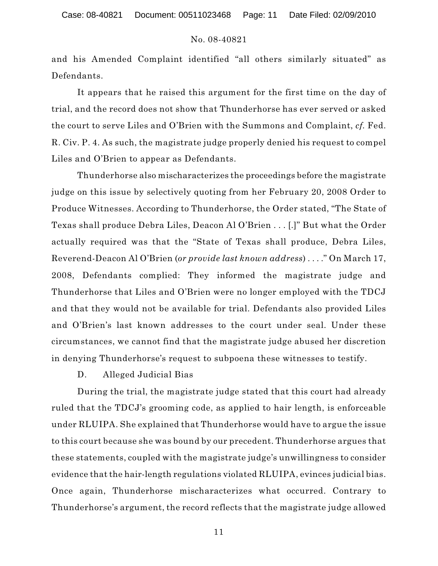and his Amended Complaint identified "all others similarly situated" as Defendants.

It appears that he raised this argument for the first time on the day of trial, and the record does not show that Thunderhorse has ever served or asked the court to serve Liles and O'Brien with the Summons and Complaint, *cf.* Fed. R. Civ. P. 4. As such, the magistrate judge properly denied his request to compel Liles and O'Brien to appear as Defendants.

Thunderhorse also mischaracterizes the proceedings before the magistrate judge on this issue by selectively quoting from her February 20, 2008 Order to Produce Witnesses. According to Thunderhorse, the Order stated, "The State of Texas shall produce Debra Liles, Deacon Al O'Brien . . . [.]" But what the Order actually required was that the "State of Texas shall produce, Debra Liles, Reverend-Deacon Al O'Brien (*or provide last known address*) . . . ." On March 17, 2008, Defendants complied: They informed the magistrate judge and Thunderhorse that Liles and O'Brien were no longer employed with the TDCJ and that they would not be available for trial. Defendants also provided Liles and O'Brien's last known addresses to the court under seal. Under these circumstances, we cannot find that the magistrate judge abused her discretion in denying Thunderhorse's request to subpoena these witnesses to testify.

D. Alleged Judicial Bias

During the trial, the magistrate judge stated that this court had already ruled that the TDCJ's grooming code, as applied to hair length, is enforceable under RLUIPA. She explained that Thunderhorse would have to argue the issue to this court because she was bound by our precedent. Thunderhorse argues that these statements, coupled with the magistrate judge's unwillingness to consider evidence that the hair-length regulations violated RLUIPA, evinces judicial bias. Once again, Thunderhorse mischaracterizes what occurred. Contrary to Thunderhorse's argument, the record reflects that the magistrate judge allowed

11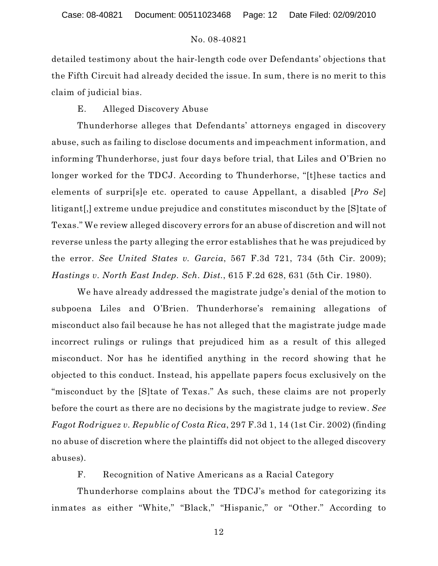detailed testimony about the hair-length code over Defendants' objections that the Fifth Circuit had already decided the issue. In sum, there is no merit to this claim of judicial bias.

### E. Alleged Discovery Abuse

Thunderhorse alleges that Defendants' attorneys engaged in discovery abuse, such as failing to disclose documents and impeachment information, and informing Thunderhorse, just four days before trial, that Liles and O'Brien no longer worked for the TDCJ. According to Thunderhorse, "[t]hese tactics and elements of surpri[s]e etc. operated to cause Appellant, a disabled [*Pro Se*] litigant[,] extreme undue prejudice and constitutes misconduct by the [S]tate of Texas." We review alleged discovery errors for an abuse of discretion and will not reverse unless the party alleging the error establishes that he was prejudiced by the error. *See United States v. Garcia*, 567 F.3d 721, 734 (5th Cir. 2009); *Hastings v. North East Indep. Sch. Dist.*, 615 F.2d 628, 631 (5th Cir. 1980).

We have already addressed the magistrate judge's denial of the motion to subpoena Liles and O'Brien. Thunderhorse's remaining allegations of misconduct also fail because he has not alleged that the magistrate judge made incorrect rulings or rulings that prejudiced him as a result of this alleged misconduct. Nor has he identified anything in the record showing that he objected to this conduct. Instead, his appellate papers focus exclusively on the "misconduct by the [S]tate of Texas." As such, these claims are not properly before the court as there are no decisions by the magistrate judge to review. *See Fagot Rodriguez v. Republic of Costa Rica*, 297 F.3d 1, 14 (1st Cir. 2002) (finding no abuse of discretion where the plaintiffs did not object to the alleged discovery abuses).

F. Recognition of Native Americans as a Racial Category

Thunderhorse complains about the TDCJ's method for categorizing its inmates as either "White," "Black," "Hispanic," or "Other." According to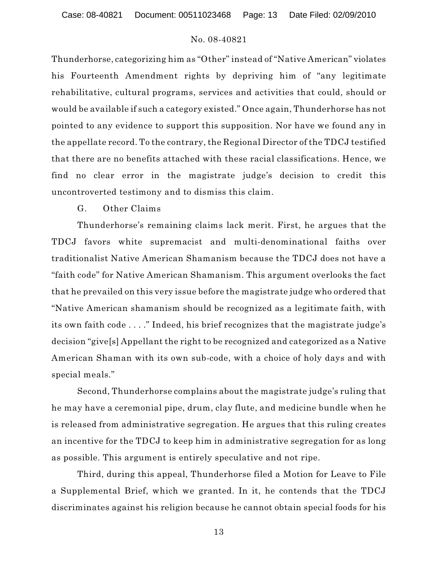Case: 08-40821 Document: 00511023468 Page: 13 Date Filed: 02/09/2010

# No. 08-40821

Thunderhorse, categorizing him as "Other" instead of "Native American" violates his Fourteenth Amendment rights by depriving him of "any legitimate rehabilitative, cultural programs, services and activities that could, should or would be available if such a category existed." Once again, Thunderhorse has not pointed to any evidence to support this supposition. Nor have we found any in the appellate record. To the contrary, the Regional Director of the TDCJ testified that there are no benefits attached with these racial classifications. Hence, we find no clear error in the magistrate judge's decision to credit this uncontroverted testimony and to dismiss this claim.

### G. Other Claims

Thunderhorse's remaining claims lack merit. First, he argues that the TDCJ favors white supremacist and multi-denominational faiths over traditionalist Native American Shamanism because the TDCJ does not have a "faith code" for Native American Shamanism. This argument overlooks the fact that he prevailed on this very issue before the magistrate judge who ordered that "Native American shamanism should be recognized as a legitimate faith, with its own faith code . . . ." Indeed, his brief recognizes that the magistrate judge's decision "give[s] Appellant the right to be recognized and categorized as a Native American Shaman with its own sub-code, with a choice of holy days and with special meals."

Second, Thunderhorse complains about the magistrate judge's ruling that he may have a ceremonial pipe, drum, clay flute, and medicine bundle when he is released from administrative segregation. He argues that this ruling creates an incentive for the TDCJ to keep him in administrative segregation for as long as possible. This argument is entirely speculative and not ripe.

Third, during this appeal, Thunderhorse filed a Motion for Leave to File a Supplemental Brief, which we granted. In it, he contends that the TDCJ discriminates against his religion because he cannot obtain special foods for his